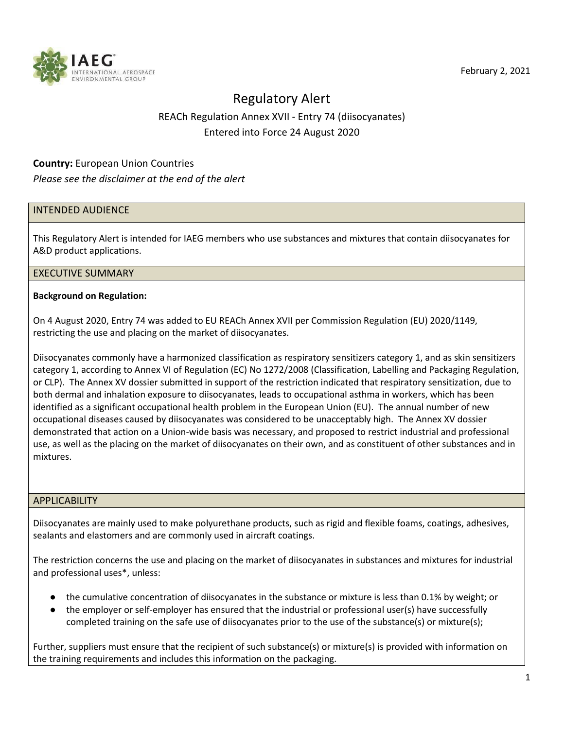

# Regulatory Alert REACh Regulation Annex XVII - Entry 74 (diisocyanates) Entered into Force 24 August 2020

# **Country:** European Union Countries

## *Please see the disclaimer at the end of the alert*

# INTENDED AUDIENCE

This Regulatory Alert is intended for IAEG members who use substances and mixtures that contain diisocyanates for A&D product applications.

#### EXECUTIVE SUMMARY

#### **Background on Regulation:**

On 4 August 2020, Entry 74 was added to EU REACh Annex XVII per Commission Regulation (EU) 2020/1149, restricting the use and placing on the market of diisocyanates.

Diisocyanates commonly have a harmonized classification as respiratory sensitizers category 1, and as skin sensitizers category 1, according to Annex VI of Regulation (EC) No 1272/2008 (Classification, Labelling and Packaging Regulation, or CLP). The Annex XV dossier submitted in support of the restriction indicated that respiratory sensitization, due to both dermal and inhalation exposure to diisocyanates, leads to occupational asthma in workers, which has been identified as a significant occupational health problem in the European Union (EU). The annual number of new occupational diseases caused by diisocyanates was considered to be unacceptably high. The Annex XV dossier demonstrated that action on a Union-wide basis was necessary, and proposed to restrict industrial and professional use, as well as the placing on the market of diisocyanates on their own, and as constituent of other substances and in mixtures.

#### APPLICABILITY

Diisocyanates are mainly used to make polyurethane products, such as rigid and flexible foams, coatings, adhesives, sealants and elastomers and are commonly used in aircraft coatings.

The restriction concerns the use and placing on the market of diisocyanates in substances and mixtures for industrial and professional uses\*, unless:

- the cumulative concentration of diisocyanates in the substance or mixture is less than 0.1% by weight; or
- the employer or self-employer has ensured that the industrial or professional user(s) have successfully completed training on the safe use of diisocyanates prior to the use of the substance(s) or mixture(s);

Further, suppliers must ensure that the recipient of such substance(s) or mixture(s) is provided with information on the training requirements and includes this information on the packaging.

February 2, 2021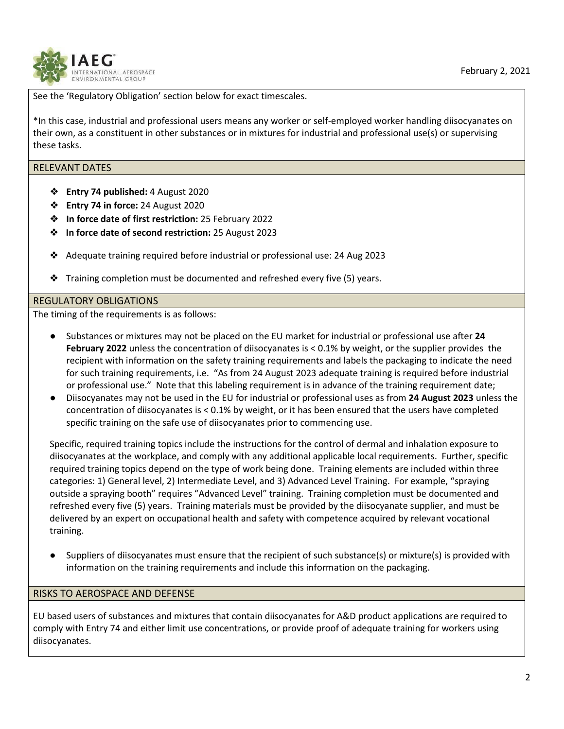

See the 'Regulatory Obligation' section below for exact timescales.

\*In this case, industrial and professional users means any worker or self-employed worker handling diisocyanates on their own, as a constituent in other substances or in mixtures for industrial and professional use(s) or supervising these tasks.

## RELEVANT DATES

- ❖ **Entry 74 published:** 4 August 2020
- ❖ **Entry 74 in force:** 24 August 2020
- ❖ **In force date of first restriction:** 25 February 2022
- ❖ **In force date of second restriction:** 25 August 2023
- ❖ Adequate training required before industrial or professional use: 24 Aug 2023
- ❖ Training completion must be documented and refreshed every five (5) years.

# REGULATORY OBLIGATIONS

The timing of the requirements is as follows:

- Substances or mixtures may not be placed on the EU market for industrial or professional use after **24 February 2022** unless the concentration of diisocyanates is < 0.1% by weight, or the supplier provides the recipient with information on the safety training requirements and labels the packaging to indicate the need for such training requirements, i.e. "As from 24 August 2023 adequate training is required before industrial or professional use." Note that this labeling requirement is in advance of the training requirement date;
- Diisocyanates may not be used in the EU for industrial or professional uses as from **24 August 2023** unless the concentration of diisocyanates is < 0.1% by weight, or it has been ensured that the users have completed specific training on the safe use of diisocyanates prior to commencing use.

Specific, required training topics include the instructions for the control of dermal and inhalation exposure to diisocyanates at the workplace, and comply with any additional applicable local requirements. Further, specific required training topics depend on the type of work being done. Training elements are included within three categories: 1) General level, 2) Intermediate Level, and 3) Advanced Level Training. For example, "spraying outside a spraying booth" requires "Advanced Level" training. Training completion must be documented and refreshed every five (5) years. Training materials must be provided by the diisocyanate supplier, and must be delivered by an expert on occupational health and safety with competence acquired by relevant vocational training.

Suppliers of diisocyanates must ensure that the recipient of such substance(s) or mixture(s) is provided with information on the training requirements and include this information on the packaging.

# RISKS TO AEROSPACE AND DEFENSE

EU based users of substances and mixtures that contain diisocyanates for A&D product applications are required to comply with Entry 74 and either limit use concentrations, or provide proof of adequate training for workers using diisocyanates.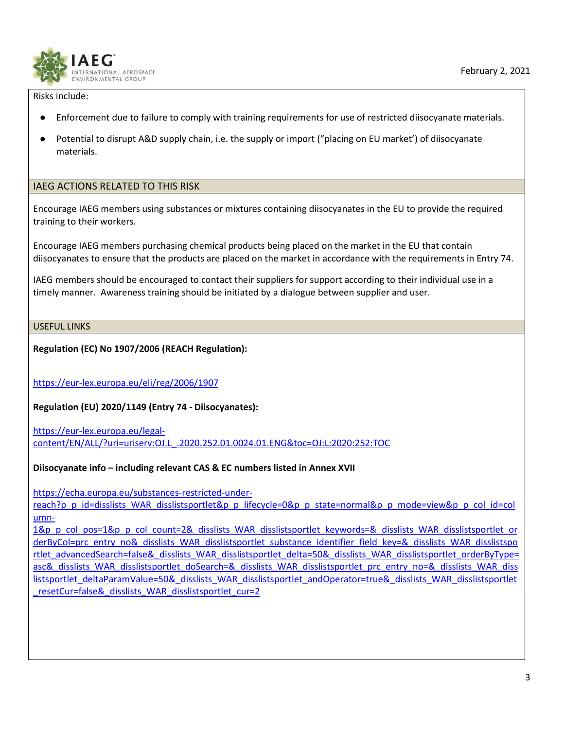

Risks include:

- Enforcement due to failure to comply with training requirements for use of restricted diisocyanate materials.
- Potential to disrupt A&D supply chain, i.e. the supply or import ("placing on EU market') of diisocyanate materials.

## IAEG ACTIONS RELATED TO THIS RISK

Encourage IAEG members using substances or mixtures containing diisocyanates in the EU to provide the required training to their workers.

Encourage IAEG members purchasing chemical products being placed on the market in the EU that contain diisocyanates to ensure that the products are placed on the market in accordance with the requirements in Entry 74.

IAEG members should be encouraged to contact their suppliers for support according to their individual use in a timely manner. Awareness training should be initiated by a dialogue between supplier and user.

USEFUL LINKS

**Regulation (EC) No 1907/2006 (REACH Regulation):**

<https://eur-lex.europa.eu/eli/reg/2006/1907>

**Regulation (EU) 2020/1149 (Entry 74 - Diisocyanates):**

[https://eur-lex.europa.eu/legal](https://eur-lex.europa.eu/legal-content/EN/ALL/?uri=uriserv:OJ.L_.2020.252.01.0024.01.ENG&toc=OJ:L:2020:252:TOC)[content/EN/ALL/?uri=uriserv:OJ.L\\_.2020.252.01.0024.01.ENG&toc=OJ:L:2020:252:TOC](https://eur-lex.europa.eu/legal-content/EN/ALL/?uri=uriserv:OJ.L_.2020.252.01.0024.01.ENG&toc=OJ:L:2020:252:TOC)

**Diisocyanate info – including relevant CAS & EC numbers listed in Annex XVII**

[https://echa.europa.eu/substances-restricted-under-](https://echa.europa.eu/substances-restricted-under-reach?p_p_id=disslists_WAR_disslistsportlet&p_p_lifecycle=0&p_p_state=normal&p_p_mode=view&p_p_col_id=column-1&p_p_col_pos=1&p_p_col_count=2&_disslists_WAR_disslistsportlet_keywords=&_disslists_WAR_disslistsportlet_orderByCol=prc_entry_no&_disslists_WAR_disslistsportlet_substance_identifier_field_key=&_disslists_WAR_disslistsportlet_advancedSearch=false&_disslists_WAR_disslistsportlet_delta=50&_disslists_WAR_disslistsportlet_orderByType=asc&_disslists_WAR_disslistsportlet_doSearch=&_disslists_WAR_disslistsportlet_prc_entry_no=&_disslists_WAR_disslistsportlet_deltaParamValue=50&_disslists_WAR_disslistsportlet_andOperator=true&_disslists_WAR_disslistsportlet_resetCur=false&_disslists_WAR_disslistsportlet_cur=2)

[reach?p\\_p\\_id=disslists\\_WAR\\_disslistsportlet&p\\_p\\_lifecycle=0&p\\_p\\_state=normal&p\\_p\\_mode=view&p\\_p\\_col\\_id=col](https://echa.europa.eu/substances-restricted-under-reach?p_p_id=disslists_WAR_disslistsportlet&p_p_lifecycle=0&p_p_state=normal&p_p_mode=view&p_p_col_id=column-1&p_p_col_pos=1&p_p_col_count=2&_disslists_WAR_disslistsportlet_keywords=&_disslists_WAR_disslistsportlet_orderByCol=prc_entry_no&_disslists_WAR_disslistsportlet_substance_identifier_field_key=&_disslists_WAR_disslistsportlet_advancedSearch=false&_disslists_WAR_disslistsportlet_delta=50&_disslists_WAR_disslistsportlet_orderByType=asc&_disslists_WAR_disslistsportlet_doSearch=&_disslists_WAR_disslistsportlet_prc_entry_no=&_disslists_WAR_disslistsportlet_deltaParamValue=50&_disslists_WAR_disslistsportlet_andOperator=true&_disslists_WAR_disslistsportlet_resetCur=false&_disslists_WAR_disslistsportlet_cur=2) [umn-](https://echa.europa.eu/substances-restricted-under-reach?p_p_id=disslists_WAR_disslistsportlet&p_p_lifecycle=0&p_p_state=normal&p_p_mode=view&p_p_col_id=column-1&p_p_col_pos=1&p_p_col_count=2&_disslists_WAR_disslistsportlet_keywords=&_disslists_WAR_disslistsportlet_orderByCol=prc_entry_no&_disslists_WAR_disslistsportlet_substance_identifier_field_key=&_disslists_WAR_disslistsportlet_advancedSearch=false&_disslists_WAR_disslistsportlet_delta=50&_disslists_WAR_disslistsportlet_orderByType=asc&_disslists_WAR_disslistsportlet_doSearch=&_disslists_WAR_disslistsportlet_prc_entry_no=&_disslists_WAR_disslistsportlet_deltaParamValue=50&_disslists_WAR_disslistsportlet_andOperator=true&_disslists_WAR_disslistsportlet_resetCur=false&_disslists_WAR_disslistsportlet_cur=2)

[1&p\\_p\\_col\\_pos=1&p\\_p\\_col\\_count=2&\\_disslists\\_WAR\\_disslistsportlet\\_keywords=&\\_disslists\\_WAR\\_disslistsportlet\\_or](https://echa.europa.eu/substances-restricted-under-reach?p_p_id=disslists_WAR_disslistsportlet&p_p_lifecycle=0&p_p_state=normal&p_p_mode=view&p_p_col_id=column-1&p_p_col_pos=1&p_p_col_count=2&_disslists_WAR_disslistsportlet_keywords=&_disslists_WAR_disslistsportlet_orderByCol=prc_entry_no&_disslists_WAR_disslistsportlet_substance_identifier_field_key=&_disslists_WAR_disslistsportlet_advancedSearch=false&_disslists_WAR_disslistsportlet_delta=50&_disslists_WAR_disslistsportlet_orderByType=asc&_disslists_WAR_disslistsportlet_doSearch=&_disslists_WAR_disslistsportlet_prc_entry_no=&_disslists_WAR_disslistsportlet_deltaParamValue=50&_disslists_WAR_disslistsportlet_andOperator=true&_disslists_WAR_disslistsportlet_resetCur=false&_disslists_WAR_disslistsportlet_cur=2) [derByCol=prc\\_entry\\_no&\\_disslists\\_WAR\\_disslistsportlet\\_substance\\_identifier\\_field\\_key=&\\_disslists\\_WAR\\_disslistspo](https://echa.europa.eu/substances-restricted-under-reach?p_p_id=disslists_WAR_disslistsportlet&p_p_lifecycle=0&p_p_state=normal&p_p_mode=view&p_p_col_id=column-1&p_p_col_pos=1&p_p_col_count=2&_disslists_WAR_disslistsportlet_keywords=&_disslists_WAR_disslistsportlet_orderByCol=prc_entry_no&_disslists_WAR_disslistsportlet_substance_identifier_field_key=&_disslists_WAR_disslistsportlet_advancedSearch=false&_disslists_WAR_disslistsportlet_delta=50&_disslists_WAR_disslistsportlet_orderByType=asc&_disslists_WAR_disslistsportlet_doSearch=&_disslists_WAR_disslistsportlet_prc_entry_no=&_disslists_WAR_disslistsportlet_deltaParamValue=50&_disslists_WAR_disslistsportlet_andOperator=true&_disslists_WAR_disslistsportlet_resetCur=false&_disslists_WAR_disslistsportlet_cur=2) [rtlet\\_advancedSearch=false&\\_disslists\\_WAR\\_disslistsportlet\\_delta=50&\\_disslists\\_WAR\\_disslistsportlet\\_orderByType=](https://echa.europa.eu/substances-restricted-under-reach?p_p_id=disslists_WAR_disslistsportlet&p_p_lifecycle=0&p_p_state=normal&p_p_mode=view&p_p_col_id=column-1&p_p_col_pos=1&p_p_col_count=2&_disslists_WAR_disslistsportlet_keywords=&_disslists_WAR_disslistsportlet_orderByCol=prc_entry_no&_disslists_WAR_disslistsportlet_substance_identifier_field_key=&_disslists_WAR_disslistsportlet_advancedSearch=false&_disslists_WAR_disslistsportlet_delta=50&_disslists_WAR_disslistsportlet_orderByType=asc&_disslists_WAR_disslistsportlet_doSearch=&_disslists_WAR_disslistsportlet_prc_entry_no=&_disslists_WAR_disslistsportlet_deltaParamValue=50&_disslists_WAR_disslistsportlet_andOperator=true&_disslists_WAR_disslistsportlet_resetCur=false&_disslists_WAR_disslistsportlet_cur=2) [asc&\\_disslists\\_WAR\\_disslistsportlet\\_doSearch=&\\_disslists\\_WAR\\_disslistsportlet\\_prc\\_entry\\_no=&\\_disslists\\_WAR\\_diss](https://echa.europa.eu/substances-restricted-under-reach?p_p_id=disslists_WAR_disslistsportlet&p_p_lifecycle=0&p_p_state=normal&p_p_mode=view&p_p_col_id=column-1&p_p_col_pos=1&p_p_col_count=2&_disslists_WAR_disslistsportlet_keywords=&_disslists_WAR_disslistsportlet_orderByCol=prc_entry_no&_disslists_WAR_disslistsportlet_substance_identifier_field_key=&_disslists_WAR_disslistsportlet_advancedSearch=false&_disslists_WAR_disslistsportlet_delta=50&_disslists_WAR_disslistsportlet_orderByType=asc&_disslists_WAR_disslistsportlet_doSearch=&_disslists_WAR_disslistsportlet_prc_entry_no=&_disslists_WAR_disslistsportlet_deltaParamValue=50&_disslists_WAR_disslistsportlet_andOperator=true&_disslists_WAR_disslistsportlet_resetCur=false&_disslists_WAR_disslistsportlet_cur=2) [listsportlet\\_deltaParamValue=50&\\_disslists\\_WAR\\_disslistsportlet\\_andOperator=true&\\_disslists\\_WAR\\_disslistsportlet](https://echa.europa.eu/substances-restricted-under-reach?p_p_id=disslists_WAR_disslistsportlet&p_p_lifecycle=0&p_p_state=normal&p_p_mode=view&p_p_col_id=column-1&p_p_col_pos=1&p_p_col_count=2&_disslists_WAR_disslistsportlet_keywords=&_disslists_WAR_disslistsportlet_orderByCol=prc_entry_no&_disslists_WAR_disslistsportlet_substance_identifier_field_key=&_disslists_WAR_disslistsportlet_advancedSearch=false&_disslists_WAR_disslistsportlet_delta=50&_disslists_WAR_disslistsportlet_orderByType=asc&_disslists_WAR_disslistsportlet_doSearch=&_disslists_WAR_disslistsportlet_prc_entry_no=&_disslists_WAR_disslistsportlet_deltaParamValue=50&_disslists_WAR_disslistsportlet_andOperator=true&_disslists_WAR_disslistsportlet_resetCur=false&_disslists_WAR_disslistsportlet_cur=2) resetCur=false& disslists WAR disslistsportlet cur=2